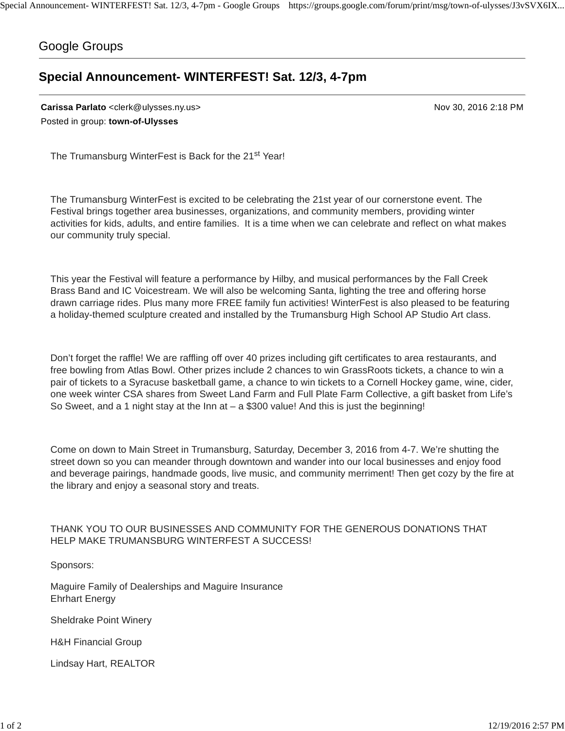## Google Groups

## **Special Announcement- WINTERFEST! Sat. 12/3, 4-7pm**

**Carissa Parlato** <clerk@ulysses.ny.us> Nov 30, 2016 2:18 PM Posted in group: **town-of-Ulysses**

The Trumansburg WinterFest is Back for the 21<sup>st</sup> Year!

The Trumansburg WinterFest is excited to be celebrating the 21st year of our cornerstone event. The Festival brings together area businesses, organizations, and community members, providing winter activities for kids, adults, and entire families. It is a time when we can celebrate and reflect on what makes our community truly special.

This year the Festival will feature a performance by Hilby, and musical performances by the Fall Creek Brass Band and IC Voicestream. We will also be welcoming Santa, lighting the tree and offering horse drawn carriage rides. Plus many more FREE family fun activities! WinterFest is also pleased to be featuring a holiday-themed sculpture created and installed by the Trumansburg High School AP Studio Art class.

Don't forget the raffle! We are raffling off over 40 prizes including gift certificates to area restaurants, and free bowling from Atlas Bowl. Other prizes include 2 chances to win GrassRoots tickets, a chance to win a pair of tickets to a Syracuse basketball game, a chance to win tickets to a Cornell Hockey game, wine, cider, one week winter CSA shares from Sweet Land Farm and Full Plate Farm Collective, a gift basket from Life's So Sweet, and a 1 night stay at the Inn at  $-$  a \$300 value! And this is just the beginning!

Come on down to Main Street in Trumansburg, Saturday, December 3, 2016 from 4-7. We're shutting the street down so you can meander through downtown and wander into our local businesses and enjoy food and beverage pairings, handmade goods, live music, and community merriment! Then get cozy by the fire at the library and enjoy a seasonal story and treats.

## THANK YOU TO OUR BUSINESSES AND COMMUNITY FOR THE GENEROUS DONATIONS THAT HELP MAKE TRUMANSBURG WINTERFEST A SUCCESS!

Sponsors:

Maguire Family of Dealerships and Maguire Insurance Ehrhart Energy

Sheldrake Point Winery

H&H Financial Group

Lindsay Hart, REALTOR